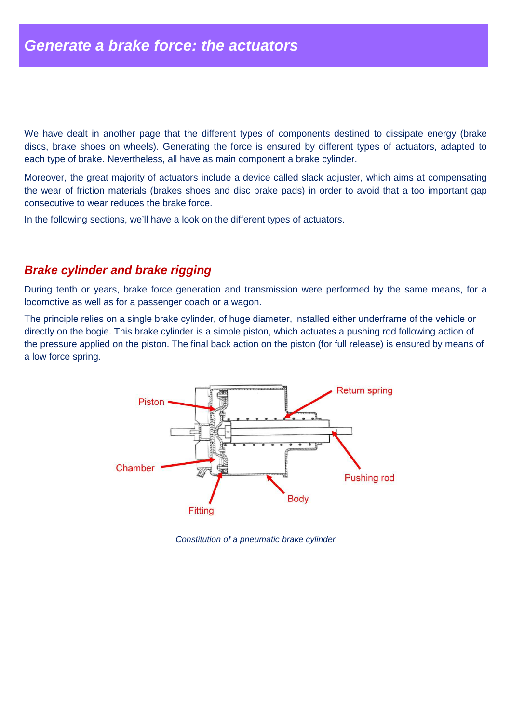We have dealt in another page that the different types of components destined to dissipate energy (brake discs, brake shoes on wheels). Generating the force is ensured by different types of actuators, adapted to each type of brake. Nevertheless, all have as main component a brake cylinder.

Moreover, the great majority of actuators include a device called slack adjuster, which aims at compensating the wear of friction materials (brakes shoes and disc brake pads) in order to avoid that a too important gap consecutive to wear reduces the brake force.

In the following sections, we'll have a look on the different types of actuators.

#### **Brake cylinder and brake rigging**

During tenth or years, brake force generation and transmission were performed by the same means, for a locomotive as well as for a passenger coach or a wagon.

The principle relies on a single brake cylinder, of huge diameter, installed either underframe of the vehicle or directly on the bogie. This brake cylinder is a simple piston, which actuates a pushing rod following action of the pressure applied on the piston. The final back action on the piston (for full release) is ensured by means of a low force spring.



Constitution of a pneumatic brake cylinder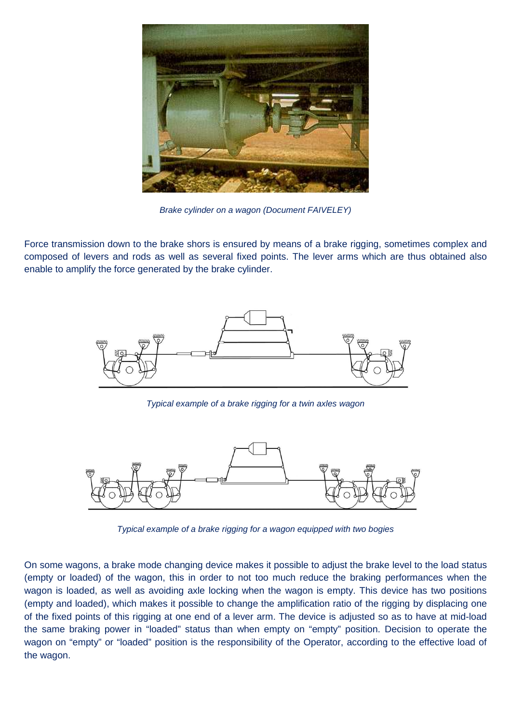

Brake cylinder on a wagon (Document FAIVELEY)

Force transmission down to the brake shors is ensured by means of a brake rigging, sometimes complex and composed of levers and rods as well as several fixed points. The lever arms which are thus obtained also enable to amplify the force generated by the brake cylinder.



Typical example of a brake rigging for a twin axles wagon



Typical example of a brake rigging for a wagon equipped with two bogies

On some wagons, a brake mode changing device makes it possible to adjust the brake level to the load status (empty or loaded) of the wagon, this in order to not too much reduce the braking performances when the wagon is loaded, as well as avoiding axle locking when the wagon is empty. This device has two positions (empty and loaded), which makes it possible to change the amplification ratio of the rigging by displacing one of the fixed points of this rigging at one end of a lever arm. The device is adjusted so as to have at mid-load the same braking power in "loaded" status than when empty on "empty" position. Decision to operate the wagon on "empty" or "loaded" position is the responsibility of the Operator, according to the effective load of the wagon.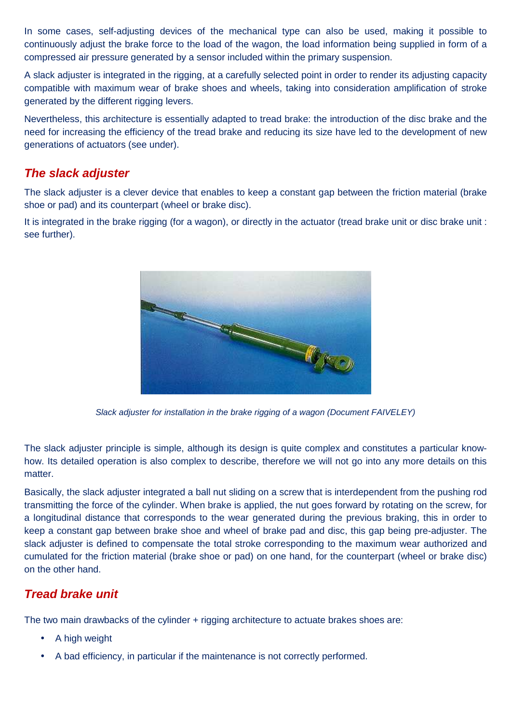In some cases, self-adjusting devices of the mechanical type can also be used, making it possible to continuously adjust the brake force to the load of the wagon, the load information being supplied in form of a compressed air pressure generated by a sensor included within the primary suspension.

A slack adjuster is integrated in the rigging, at a carefully selected point in order to render its adjusting capacity compatible with maximum wear of brake shoes and wheels, taking into consideration amplification of stroke generated by the different rigging levers.

Nevertheless, this architecture is essentially adapted to tread brake: the introduction of the disc brake and the need for increasing the efficiency of the tread brake and reducing its size have led to the development of new generations of actuators (see under).

## **The slack adjuster**

The slack adjuster is a clever device that enables to keep a constant gap between the friction material (brake shoe or pad) and its counterpart (wheel or brake disc).

It is integrated in the brake rigging (for a wagon), or directly in the actuator (tread brake unit or disc brake unit : see further).



Slack adjuster for installation in the brake rigging of a wagon (Document FAIVELEY)

The slack adjuster principle is simple, although its design is quite complex and constitutes a particular knowhow. Its detailed operation is also complex to describe, therefore we will not go into any more details on this matter.

Basically, the slack adjuster integrated a ball nut sliding on a screw that is interdependent from the pushing rod transmitting the force of the cylinder. When brake is applied, the nut goes forward by rotating on the screw, for a longitudinal distance that corresponds to the wear generated during the previous braking, this in order to keep a constant gap between brake shoe and wheel of brake pad and disc, this gap being pre-adjuster. The slack adjuster is defined to compensate the total stroke corresponding to the maximum wear authorized and cumulated for the friction material (brake shoe or pad) on one hand, for the counterpart (wheel or brake disc) on the other hand.

# **Tread brake unit**

The two main drawbacks of the cylinder + rigging architecture to actuate brakes shoes are:

- A high weight
- A bad efficiency, in particular if the maintenance is not correctly performed.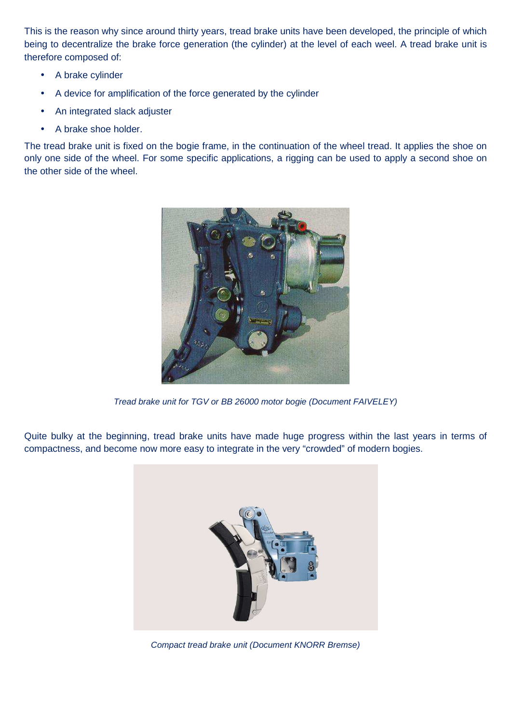This is the reason why since around thirty years, tread brake units have been developed, the principle of which being to decentralize the brake force generation (the cylinder) at the level of each weel. A tread brake unit is therefore composed of:

- A brake cylinder
- A device for amplification of the force generated by the cylinder
- An integrated slack adjuster
- A brake shoe holder.

The tread brake unit is fixed on the bogie frame, in the continuation of the wheel tread. It applies the shoe on only one side of the wheel. For some specific applications, a rigging can be used to apply a second shoe on the other side of the wheel.



Tread brake unit for TGV or BB 26000 motor bogie (Document FAIVELEY)

Quite bulky at the beginning, tread brake units have made huge progress within the last years in terms of compactness, and become now more easy to integrate in the very "crowded" of modern bogies.



Compact tread brake unit (Document KNORR Bremse)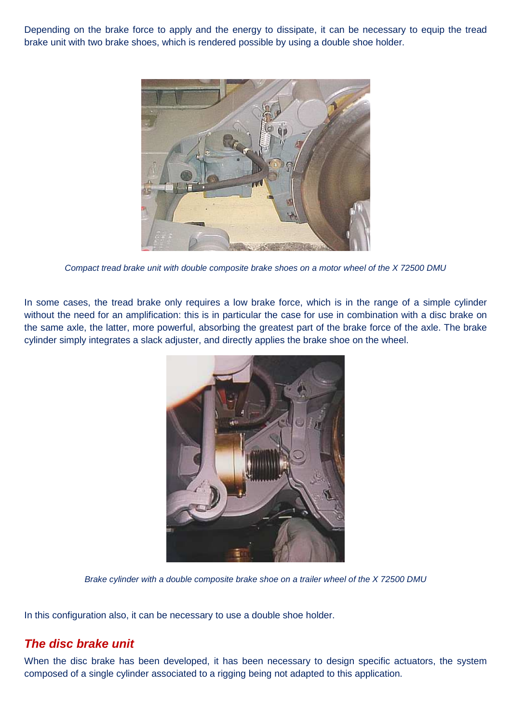Depending on the brake force to apply and the energy to dissipate, it can be necessary to equip the tread brake unit with two brake shoes, which is rendered possible by using a double shoe holder.



Compact tread brake unit with double composite brake shoes on a motor wheel of the X 72500 DMU

In some cases, the tread brake only requires a low brake force, which is in the range of a simple cylinder without the need for an amplification: this is in particular the case for use in combination with a disc brake on the same axle, the latter, more powerful, absorbing the greatest part of the brake force of the axle. The brake cylinder simply integrates a slack adjuster, and directly applies the brake shoe on the wheel.



Brake cylinder with a double composite brake shoe on a trailer wheel of the X 72500 DMU

In this configuration also, it can be necessary to use a double shoe holder.

### **The disc brake unit**

When the disc brake has been developed, it has been necessary to design specific actuators, the system composed of a single cylinder associated to a rigging being not adapted to this application.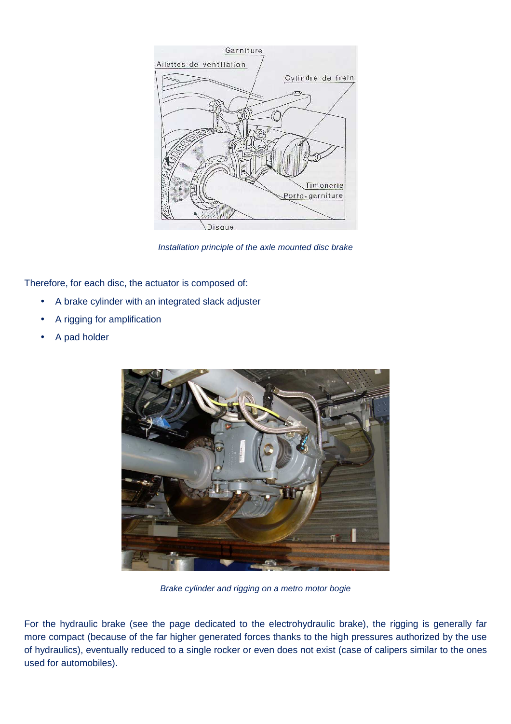

Installation principle of the axle mounted disc brake

Therefore, for each disc, the actuator is composed of:

- A brake cylinder with an integrated slack adjuster
- A rigging for amplification
- A pad holder



Brake cylinder and rigging on a metro motor bogie

For the hydraulic brake (see the page dedicated to the electrohydraulic brake), the rigging is generally far more compact (because of the far higher generated forces thanks to the high pressures authorized by the use of hydraulics), eventually reduced to a single rocker or even does not exist (case of calipers similar to the ones used for automobiles).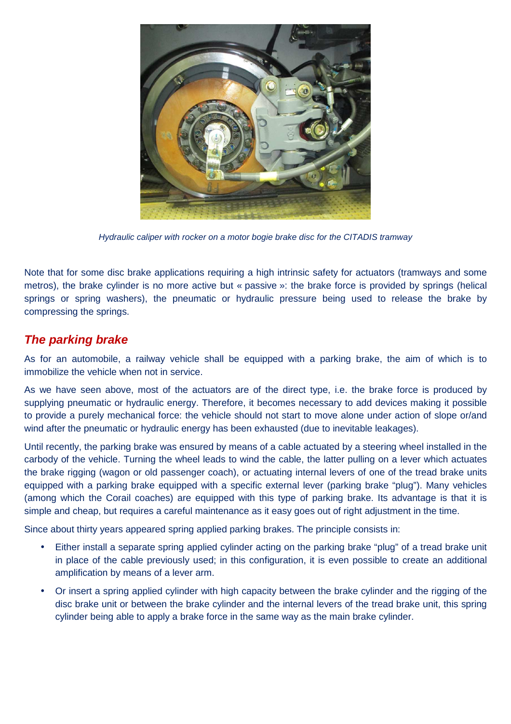

Hydraulic caliper with rocker on a motor bogie brake disc for the CITADIS tramway

Note that for some disc brake applications requiring a high intrinsic safety for actuators (tramways and some metros), the brake cylinder is no more active but « passive »: the brake force is provided by springs (helical springs or spring washers), the pneumatic or hydraulic pressure being used to release the brake by compressing the springs.

### **The parking brake**

As for an automobile, a railway vehicle shall be equipped with a parking brake, the aim of which is to immobilize the vehicle when not in service.

As we have seen above, most of the actuators are of the direct type, i.e. the brake force is produced by supplying pneumatic or hydraulic energy. Therefore, it becomes necessary to add devices making it possible to provide a purely mechanical force: the vehicle should not start to move alone under action of slope or/and wind after the pneumatic or hydraulic energy has been exhausted (due to inevitable leakages).

Until recently, the parking brake was ensured by means of a cable actuated by a steering wheel installed in the carbody of the vehicle. Turning the wheel leads to wind the cable, the latter pulling on a lever which actuates the brake rigging (wagon or old passenger coach), or actuating internal levers of one of the tread brake units equipped with a parking brake equipped with a specific external lever (parking brake "plug"). Many vehicles (among which the Corail coaches) are equipped with this type of parking brake. Its advantage is that it is simple and cheap, but requires a careful maintenance as it easy goes out of right adjustment in the time.

Since about thirty years appeared spring applied parking brakes. The principle consists in:

- Either install a separate spring applied cylinder acting on the parking brake "plug" of a tread brake unit in place of the cable previously used; in this configuration, it is even possible to create an additional amplification by means of a lever arm.
- Or insert a spring applied cylinder with high capacity between the brake cylinder and the rigging of the disc brake unit or between the brake cylinder and the internal levers of the tread brake unit, this spring cylinder being able to apply a brake force in the same way as the main brake cylinder.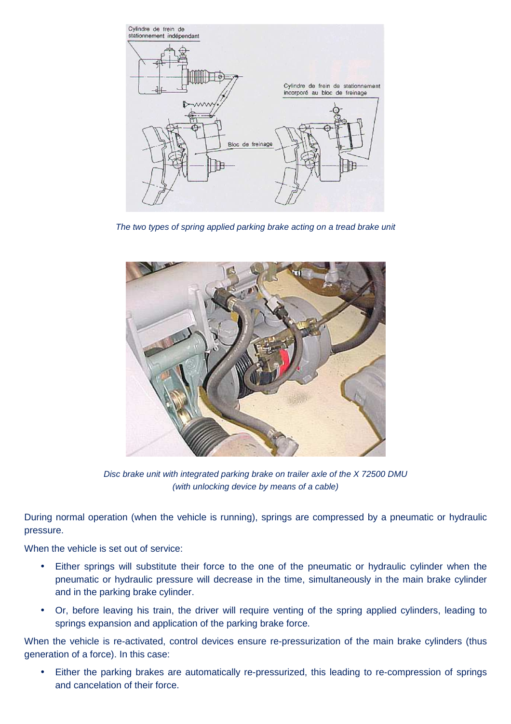

The two types of spring applied parking brake acting on a tread brake unit



Disc brake unit with integrated parking brake on trailer axle of the X 72500 DMU (with unlocking device by means of a cable)

During normal operation (when the vehicle is running), springs are compressed by a pneumatic or hydraulic pressure.

When the vehicle is set out of service:

- Either springs will substitute their force to the one of the pneumatic or hydraulic cylinder when the pneumatic or hydraulic pressure will decrease in the time, simultaneously in the main brake cylinder and in the parking brake cylinder.
- Or, before leaving his train, the driver will require venting of the spring applied cylinders, leading to springs expansion and application of the parking brake force.

When the vehicle is re-activated, control devices ensure re-pressurization of the main brake cylinders (thus generation of a force). In this case:

• Either the parking brakes are automatically re-pressurized, this leading to re-compression of springs and cancelation of their force.